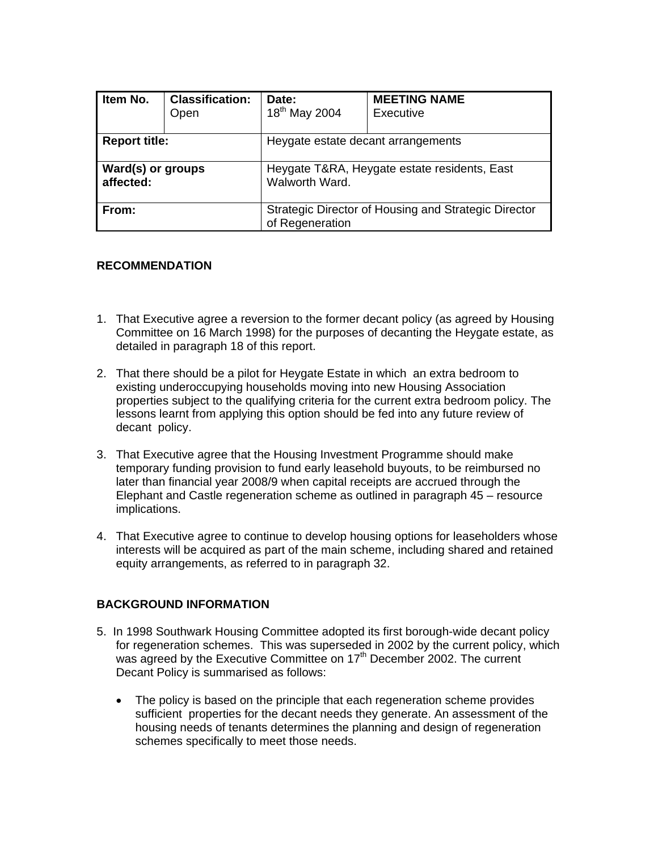| Item No.             | <b>Classification:</b> | Date:                                                                   | <b>MEETING NAME</b> |  |
|----------------------|------------------------|-------------------------------------------------------------------------|---------------------|--|
|                      | Open                   | 18 <sup>th</sup> May 2004                                               | Executive           |  |
| <b>Report title:</b> |                        | Heygate estate decant arrangements                                      |                     |  |
| Ward(s) or groups    |                        | Heygate T&RA, Heygate estate residents, East                            |                     |  |
| affected:            |                        | Walworth Ward.                                                          |                     |  |
| From:                |                        | Strategic Director of Housing and Strategic Director<br>of Regeneration |                     |  |

## **RECOMMENDATION**

- 1. That Executive agree a reversion to the former decant policy (as agreed by Housing Committee on 16 March 1998) for the purposes of decanting the Heygate estate, as detailed in paragraph 18 of this report.
- 2. That there should be a pilot for Heygate Estate in which an extra bedroom to existing underoccupying households moving into new Housing Association properties subject to the qualifying criteria for the current extra bedroom policy. The lessons learnt from applying this option should be fed into any future review of decant policy.
- 3. That Executive agree that the Housing Investment Programme should make temporary funding provision to fund early leasehold buyouts, to be reimbursed no later than financial year 2008/9 when capital receipts are accrued through the Elephant and Castle regeneration scheme as outlined in paragraph 45 – resource implications.
- 4. That Executive agree to continue to develop housing options for leaseholders whose interests will be acquired as part of the main scheme, including shared and retained equity arrangements, as referred to in paragraph 32.

## **BACKGROUND INFORMATION**

- 5. In 1998 Southwark Housing Committee adopted its first borough-wide decant policy for regeneration schemes. This was superseded in 2002 by the current policy, which was agreed by the Executive Committee on 17<sup>th</sup> December 2002. The current Decant Policy is summarised as follows:
	- The policy is based on the principle that each regeneration scheme provides sufficient properties for the decant needs they generate. An assessment of the housing needs of tenants determines the planning and design of regeneration schemes specifically to meet those needs.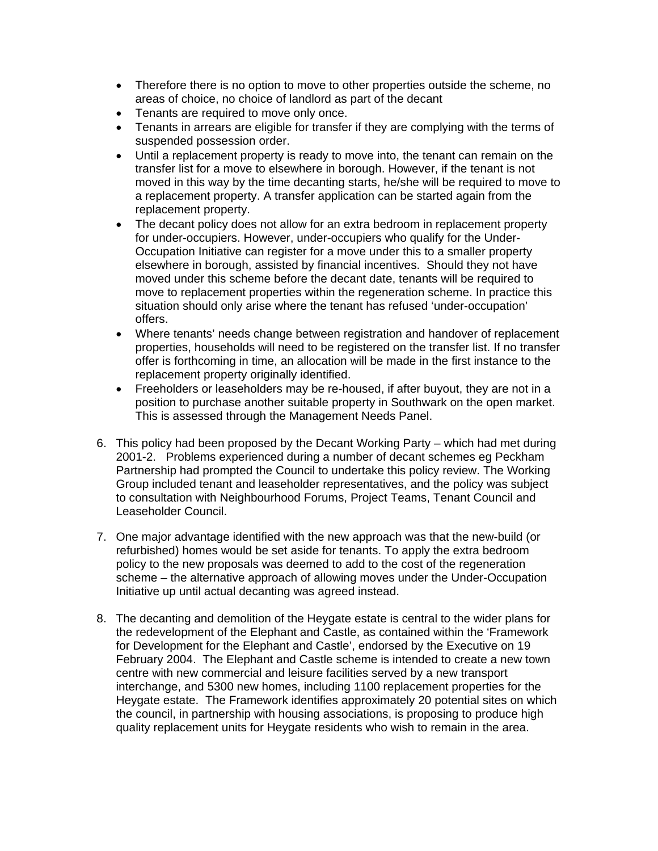- Therefore there is no option to move to other properties outside the scheme, no areas of choice, no choice of landlord as part of the decant
- Tenants are required to move only once.
- Tenants in arrears are eligible for transfer if they are complying with the terms of suspended possession order.
- Until a replacement property is ready to move into, the tenant can remain on the transfer list for a move to elsewhere in borough. However, if the tenant is not moved in this way by the time decanting starts, he/she will be required to move to a replacement property. A transfer application can be started again from the replacement property.
- The decant policy does not allow for an extra bedroom in replacement property for under-occupiers. However, under-occupiers who qualify for the Under-Occupation Initiative can register for a move under this to a smaller property elsewhere in borough, assisted by financial incentives. Should they not have moved under this scheme before the decant date, tenants will be required to move to replacement properties within the regeneration scheme. In practice this situation should only arise where the tenant has refused 'under-occupation' offers.
- Where tenants' needs change between registration and handover of replacement properties, households will need to be registered on the transfer list. If no transfer offer is forthcoming in time, an allocation will be made in the first instance to the replacement property originally identified.
- Freeholders or leaseholders may be re-housed, if after buyout, they are not in a position to purchase another suitable property in Southwark on the open market. This is assessed through the Management Needs Panel.
- 6. This policy had been proposed by the Decant Working Party which had met during 2001-2. Problems experienced during a number of decant schemes eg Peckham Partnership had prompted the Council to undertake this policy review. The Working Group included tenant and leaseholder representatives, and the policy was subject to consultation with Neighbourhood Forums, Project Teams, Tenant Council and Leaseholder Council.
- 7. One major advantage identified with the new approach was that the new-build (or refurbished) homes would be set aside for tenants. To apply the extra bedroom policy to the new proposals was deemed to add to the cost of the regeneration scheme – the alternative approach of allowing moves under the Under-Occupation Initiative up until actual decanting was agreed instead.
- 8. The decanting and demolition of the Heygate estate is central to the wider plans for the redevelopment of the Elephant and Castle, as contained within the 'Framework for Development for the Elephant and Castle', endorsed by the Executive on 19 February 2004. The Elephant and Castle scheme is intended to create a new town centre with new commercial and leisure facilities served by a new transport interchange, and 5300 new homes, including 1100 replacement properties for the Heygate estate. The Framework identifies approximately 20 potential sites on which the council, in partnership with housing associations, is proposing to produce high quality replacement units for Heygate residents who wish to remain in the area.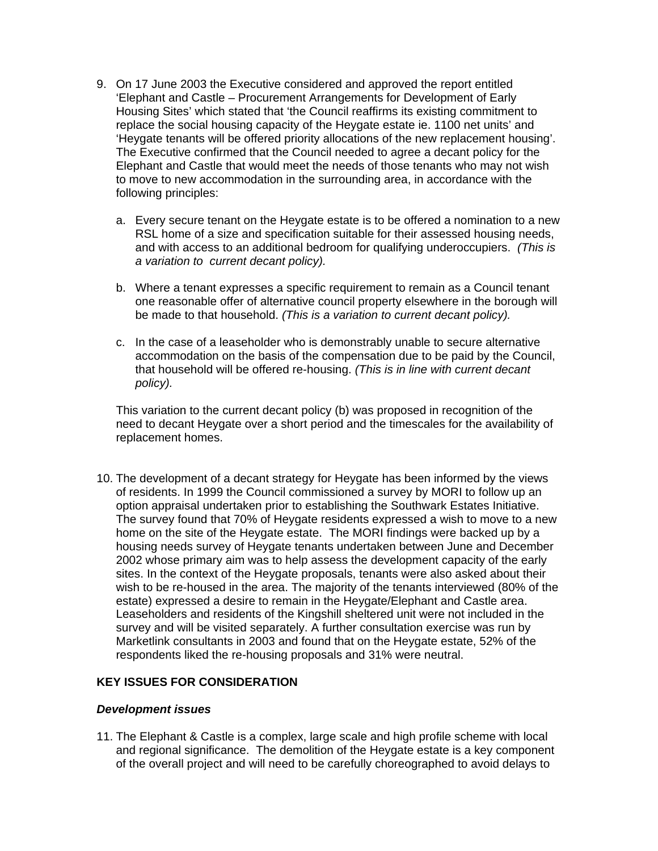- 9. On 17 June 2003 the Executive considered and approved the report entitled 'Elephant and Castle – Procurement Arrangements for Development of Early Housing Sites' which stated that 'the Council reaffirms its existing commitment to replace the social housing capacity of the Heygate estate ie. 1100 net units' and 'Heygate tenants will be offered priority allocations of the new replacement housing'. The Executive confirmed that the Council needed to agree a decant policy for the Elephant and Castle that would meet the needs of those tenants who may not wish to move to new accommodation in the surrounding area, in accordance with the following principles:
	- a. Every secure tenant on the Heygate estate is to be offered a nomination to a new RSL home of a size and specification suitable for their assessed housing needs, and with access to an additional bedroom for qualifying underoccupiers. *(This is a variation to current decant policy).*
	- b. Where a tenant expresses a specific requirement to remain as a Council tenant one reasonable offer of alternative council property elsewhere in the borough will be made to that household. *(This is a variation to current decant policy).*
	- c. In the case of a leaseholder who is demonstrably unable to secure alternative accommodation on the basis of the compensation due to be paid by the Council, that household will be offered re-housing. *(This is in line with current decant policy).*

This variation to the current decant policy (b) was proposed in recognition of the need to decant Heygate over a short period and the timescales for the availability of replacement homes.

10. The development of a decant strategy for Heygate has been informed by the views of residents. In 1999 the Council commissioned a survey by MORI to follow up an option appraisal undertaken prior to establishing the Southwark Estates Initiative. The survey found that 70% of Heygate residents expressed a wish to move to a new home on the site of the Heygate estate. The MORI findings were backed up by a housing needs survey of Heygate tenants undertaken between June and December 2002 whose primary aim was to help assess the development capacity of the early sites. In the context of the Heygate proposals, tenants were also asked about their wish to be re-housed in the area. The majority of the tenants interviewed (80% of the estate) expressed a desire to remain in the Heygate/Elephant and Castle area. Leaseholders and residents of the Kingshill sheltered unit were not included in the survey and will be visited separately. A further consultation exercise was run by Marketlink consultants in 2003 and found that on the Heygate estate, 52% of the respondents liked the re-housing proposals and 31% were neutral.

## **KEY ISSUES FOR CONSIDERATION**

#### *Development issues*

11. The Elephant & Castle is a complex, large scale and high profile scheme with local and regional significance. The demolition of the Heygate estate is a key component of the overall project and will need to be carefully choreographed to avoid delays to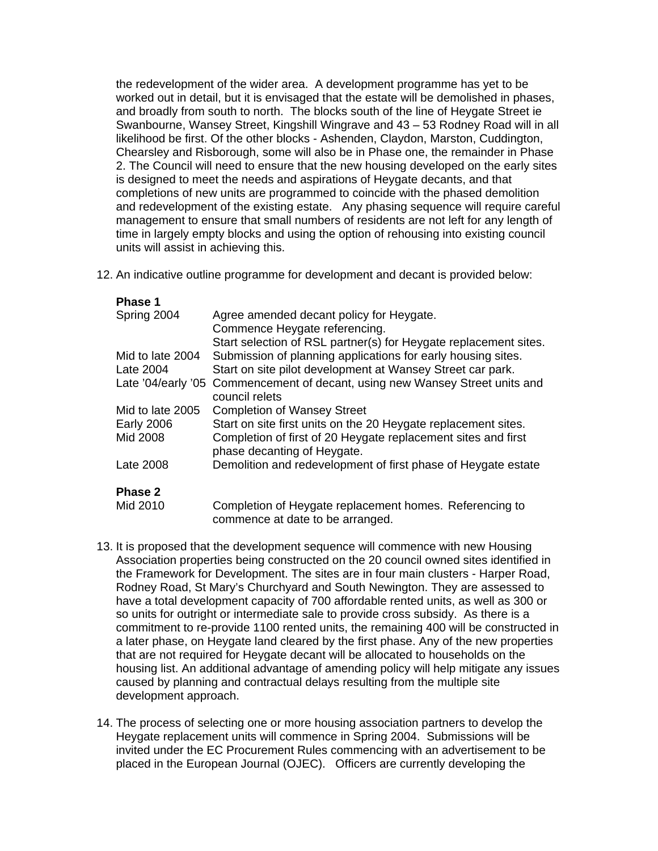the redevelopment of the wider area. A development programme has yet to be worked out in detail, but it is envisaged that the estate will be demolished in phases, and broadly from south to north. The blocks south of the line of Heygate Street ie Swanbourne, Wansey Street, Kingshill Wingrave and 43 – 53 Rodney Road will in all likelihood be first. Of the other blocks - Ashenden, Claydon, Marston, Cuddington, Chearsley and Risborough, some will also be in Phase one, the remainder in Phase 2. The Council will need to ensure that the new housing developed on the early sites is designed to meet the needs and aspirations of Heygate decants, and that completions of new units are programmed to coincide with the phased demolition and redevelopment of the existing estate. Any phasing sequence will require careful management to ensure that small numbers of residents are not left for any length of time in largely empty blocks and using the option of rehousing into existing council units will assist in achieving this.

12. An indicative outline programme for development and decant is provided below:

| <b>Phase 1</b>    |                                                                                                                                               |
|-------------------|-----------------------------------------------------------------------------------------------------------------------------------------------|
| Spring 2004       | Agree amended decant policy for Heygate.<br>Commence Heygate referencing.<br>Start selection of RSL partner(s) for Heygate replacement sites. |
| Mid to late 2004  | Submission of planning applications for early housing sites.                                                                                  |
| Late 2004         | Start on site pilot development at Wansey Street car park.                                                                                    |
|                   | Late '04/early '05 Commencement of decant, using new Wansey Street units and<br>council relets                                                |
| Mid to late 2005  | <b>Completion of Wansey Street</b>                                                                                                            |
| <b>Early 2006</b> | Start on site first units on the 20 Heygate replacement sites.                                                                                |
| Mid 2008          | Completion of first of 20 Heygate replacement sites and first<br>phase decanting of Heygate.                                                  |
| Late 2008         | Demolition and redevelopment of first phase of Heygate estate                                                                                 |
| Phase 2           |                                                                                                                                               |
| Mid 2010          | Completion of Heygate replacement homes. Referencing to<br>commence at date to be arranged.                                                   |

- 13. It is proposed that the development sequence will commence with new Housing Association properties being constructed on the 20 council owned sites identified in the Framework for Development. The sites are in four main clusters - Harper Road, Rodney Road, St Mary's Churchyard and South Newington. They are assessed to have a total development capacity of 700 affordable rented units, as well as 300 or so units for outright or intermediate sale to provide cross subsidy. As there is a commitment to re-provide 1100 rented units, the remaining 400 will be constructed in a later phase, on Heygate land cleared by the first phase. Any of the new properties that are not required for Heygate decant will be allocated to households on the housing list. An additional advantage of amending policy will help mitigate any issues caused by planning and contractual delays resulting from the multiple site development approach.
- 14. The process of selecting one or more housing association partners to develop the Heygate replacement units will commence in Spring 2004. Submissions will be invited under the EC Procurement Rules commencing with an advertisement to be placed in the European Journal (OJEC). Officers are currently developing the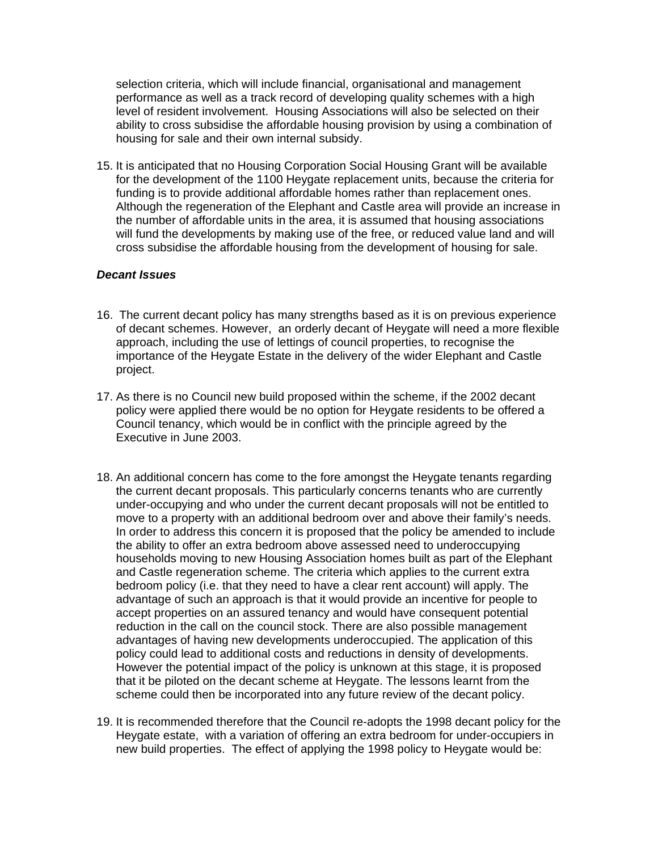selection criteria, which will include financial, organisational and management performance as well as a track record of developing quality schemes with a high level of resident involvement. Housing Associations will also be selected on their ability to cross subsidise the affordable housing provision by using a combination of housing for sale and their own internal subsidy.

15. It is anticipated that no Housing Corporation Social Housing Grant will be available for the development of the 1100 Heygate replacement units, because the criteria for funding is to provide additional affordable homes rather than replacement ones. Although the regeneration of the Elephant and Castle area will provide an increase in the number of affordable units in the area, it is assumed that housing associations will fund the developments by making use of the free, or reduced value land and will cross subsidise the affordable housing from the development of housing for sale.

#### *Decant Issues*

- 16. The current decant policy has many strengths based as it is on previous experience of decant schemes. However, an orderly decant of Heygate will need a more flexible approach, including the use of lettings of council properties, to recognise the importance of the Heygate Estate in the delivery of the wider Elephant and Castle project.
- 17. As there is no Council new build proposed within the scheme, if the 2002 decant policy were applied there would be no option for Heygate residents to be offered a Council tenancy, which would be in conflict with the principle agreed by the Executive in June 2003.
- 18. An additional concern has come to the fore amongst the Heygate tenants regarding the current decant proposals. This particularly concerns tenants who are currently under-occupying and who under the current decant proposals will not be entitled to move to a property with an additional bedroom over and above their family's needs. In order to address this concern it is proposed that the policy be amended to include the ability to offer an extra bedroom above assessed need to underoccupying households moving to new Housing Association homes built as part of the Elephant and Castle regeneration scheme. The criteria which applies to the current extra bedroom policy (i.e. that they need to have a clear rent account) will apply. The advantage of such an approach is that it would provide an incentive for people to accept properties on an assured tenancy and would have consequent potential reduction in the call on the council stock. There are also possible management advantages of having new developments underoccupied. The application of this policy could lead to additional costs and reductions in density of developments. However the potential impact of the policy is unknown at this stage, it is proposed that it be piloted on the decant scheme at Heygate. The lessons learnt from the scheme could then be incorporated into any future review of the decant policy.
- 19. It is recommended therefore that the Council re-adopts the 1998 decant policy for the Heygate estate, with a variation of offering an extra bedroom for under-occupiers in new build properties. The effect of applying the 1998 policy to Heygate would be: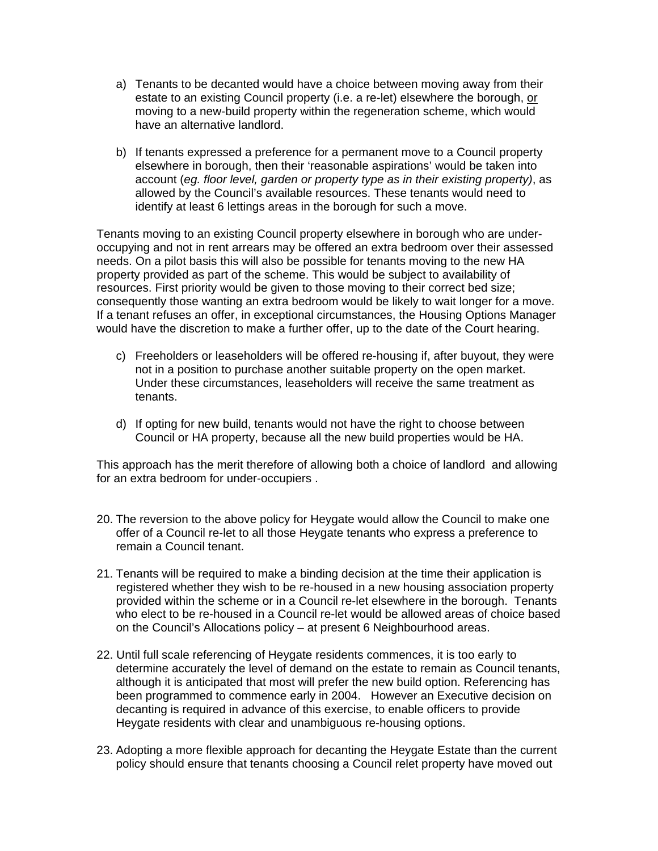- a) Tenants to be decanted would have a choice between moving away from their estate to an existing Council property (i.e. a re-let) elsewhere the borough, or moving to a new-build property within the regeneration scheme, which would have an alternative landlord.
- b) If tenants expressed a preference for a permanent move to a Council property elsewhere in borough, then their 'reasonable aspirations' would be taken into account (*eg. floor level, garden or property type as in their existing property)*, as allowed by the Council's available resources. These tenants would need to identify at least 6 lettings areas in the borough for such a move.

Tenants moving to an existing Council property elsewhere in borough who are underoccupying and not in rent arrears may be offered an extra bedroom over their assessed needs. On a pilot basis this will also be possible for tenants moving to the new HA property provided as part of the scheme. This would be subject to availability of resources. First priority would be given to those moving to their correct bed size; consequently those wanting an extra bedroom would be likely to wait longer for a move. If a tenant refuses an offer, in exceptional circumstances, the Housing Options Manager would have the discretion to make a further offer, up to the date of the Court hearing.

- c) Freeholders or leaseholders will be offered re-housing if, after buyout, they were not in a position to purchase another suitable property on the open market. Under these circumstances, leaseholders will receive the same treatment as tenants.
- d) If opting for new build, tenants would not have the right to choose between Council or HA property, because all the new build properties would be HA.

This approach has the merit therefore of allowing both a choice of landlord and allowing for an extra bedroom for under-occupiers .

- 20. The reversion to the above policy for Heygate would allow the Council to make one offer of a Council re-let to all those Heygate tenants who express a preference to remain a Council tenant.
- 21. Tenants will be required to make a binding decision at the time their application is registered whether they wish to be re-housed in a new housing association property provided within the scheme or in a Council re-let elsewhere in the borough. Tenants who elect to be re-housed in a Council re-let would be allowed areas of choice based on the Council's Allocations policy – at present 6 Neighbourhood areas.
- 22. Until full scale referencing of Heygate residents commences, it is too early to determine accurately the level of demand on the estate to remain as Council tenants, although it is anticipated that most will prefer the new build option. Referencing has been programmed to commence early in 2004. However an Executive decision on decanting is required in advance of this exercise, to enable officers to provide Heygate residents with clear and unambiguous re-housing options.
- 23. Adopting a more flexible approach for decanting the Heygate Estate than the current policy should ensure that tenants choosing a Council relet property have moved out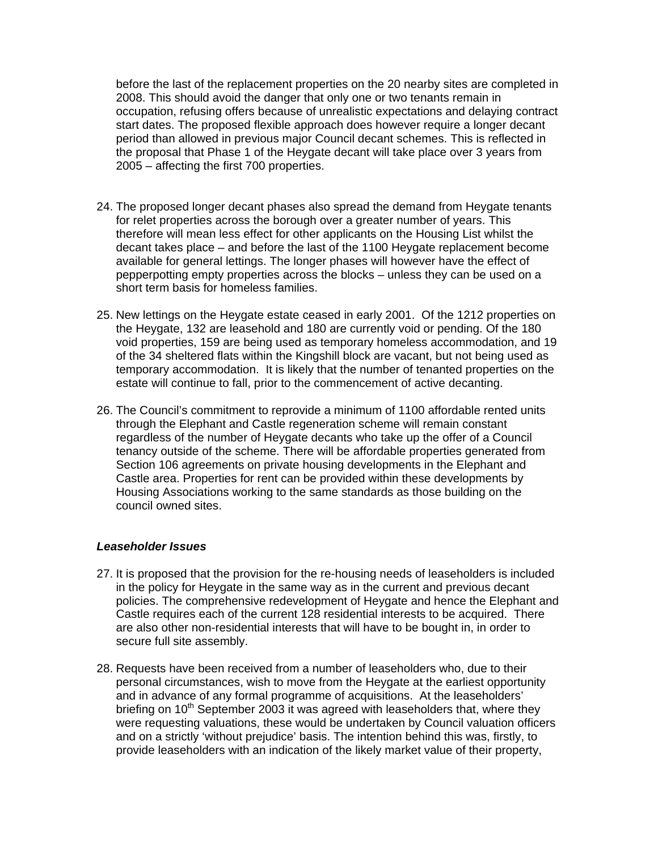before the last of the replacement properties on the 20 nearby sites are completed in 2008. This should avoid the danger that only one or two tenants remain in occupation, refusing offers because of unrealistic expectations and delaying contract start dates. The proposed flexible approach does however require a longer decant period than allowed in previous major Council decant schemes. This is reflected in the proposal that Phase 1 of the Heygate decant will take place over 3 years from 2005 – affecting the first 700 properties.

- 24. The proposed longer decant phases also spread the demand from Heygate tenants for relet properties across the borough over a greater number of years. This therefore will mean less effect for other applicants on the Housing List whilst the decant takes place – and before the last of the 1100 Heygate replacement become available for general lettings. The longer phases will however have the effect of pepperpotting empty properties across the blocks – unless they can be used on a short term basis for homeless families.
- 25. New lettings on the Heygate estate ceased in early 2001. Of the 1212 properties on the Heygate, 132 are leasehold and 180 are currently void or pending. Of the 180 void properties, 159 are being used as temporary homeless accommodation, and 19 of the 34 sheltered flats within the Kingshill block are vacant, but not being used as temporary accommodation. It is likely that the number of tenanted properties on the estate will continue to fall, prior to the commencement of active decanting.
- 26. The Council's commitment to reprovide a minimum of 1100 affordable rented units through the Elephant and Castle regeneration scheme will remain constant regardless of the number of Heygate decants who take up the offer of a Council tenancy outside of the scheme. There will be affordable properties generated from Section 106 agreements on private housing developments in the Elephant and Castle area. Properties for rent can be provided within these developments by Housing Associations working to the same standards as those building on the council owned sites.

#### *Leaseholder Issues*

- 27. It is proposed that the provision for the re-housing needs of leaseholders is included in the policy for Heygate in the same way as in the current and previous decant policies. The comprehensive redevelopment of Heygate and hence the Elephant and Castle requires each of the current 128 residential interests to be acquired. There are also other non-residential interests that will have to be bought in, in order to secure full site assembly.
- 28. Requests have been received from a number of leaseholders who, due to their personal circumstances, wish to move from the Heygate at the earliest opportunity and in advance of any formal programme of acquisitions. At the leaseholders' briefing on  $10<sup>th</sup>$  September 2003 it was agreed with leaseholders that, where they were requesting valuations, these would be undertaken by Council valuation officers and on a strictly 'without prejudice' basis. The intention behind this was, firstly, to provide leaseholders with an indication of the likely market value of their property,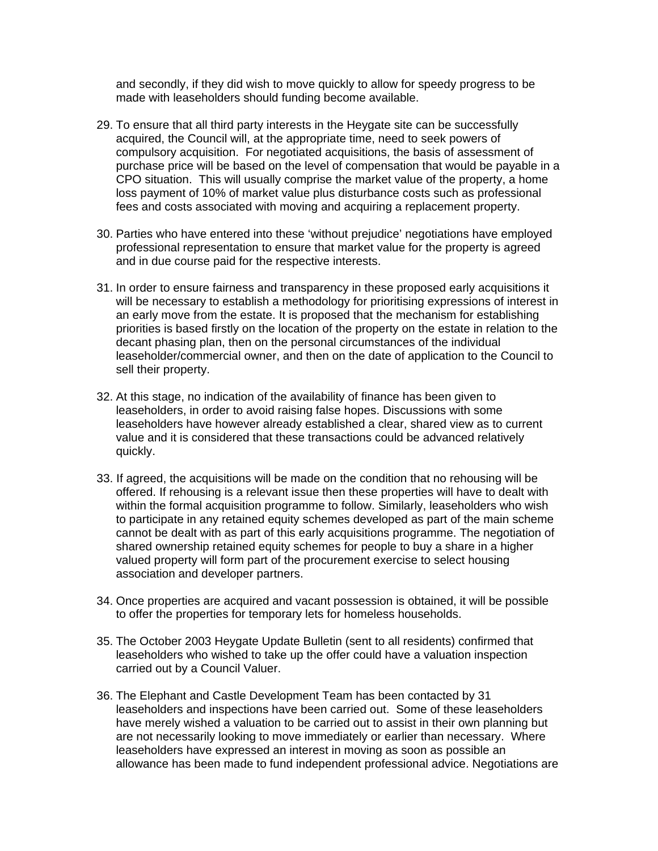and secondly, if they did wish to move quickly to allow for speedy progress to be made with leaseholders should funding become available.

- 29. To ensure that all third party interests in the Heygate site can be successfully acquired, the Council will, at the appropriate time, need to seek powers of compulsory acquisition. For negotiated acquisitions, the basis of assessment of purchase price will be based on the level of compensation that would be payable in a CPO situation. This will usually comprise the market value of the property, a home loss payment of 10% of market value plus disturbance costs such as professional fees and costs associated with moving and acquiring a replacement property.
- 30. Parties who have entered into these 'without prejudice' negotiations have employed professional representation to ensure that market value for the property is agreed and in due course paid for the respective interests.
- 31. In order to ensure fairness and transparency in these proposed early acquisitions it will be necessary to establish a methodology for prioritising expressions of interest in an early move from the estate. It is proposed that the mechanism for establishing priorities is based firstly on the location of the property on the estate in relation to the decant phasing plan, then on the personal circumstances of the individual leaseholder/commercial owner, and then on the date of application to the Council to sell their property.
- 32. At this stage, no indication of the availability of finance has been given to leaseholders, in order to avoid raising false hopes. Discussions with some leaseholders have however already established a clear, shared view as to current value and it is considered that these transactions could be advanced relatively quickly.
- 33. If agreed, the acquisitions will be made on the condition that no rehousing will be offered. If rehousing is a relevant issue then these properties will have to dealt with within the formal acquisition programme to follow. Similarly, leaseholders who wish to participate in any retained equity schemes developed as part of the main scheme cannot be dealt with as part of this early acquisitions programme. The negotiation of shared ownership retained equity schemes for people to buy a share in a higher valued property will form part of the procurement exercise to select housing association and developer partners.
- 34. Once properties are acquired and vacant possession is obtained, it will be possible to offer the properties for temporary lets for homeless households.
- 35. The October 2003 Heygate Update Bulletin (sent to all residents) confirmed that leaseholders who wished to take up the offer could have a valuation inspection carried out by a Council Valuer.
- 36. The Elephant and Castle Development Team has been contacted by 31 leaseholders and inspections have been carried out. Some of these leaseholders have merely wished a valuation to be carried out to assist in their own planning but are not necessarily looking to move immediately or earlier than necessary. Where leaseholders have expressed an interest in moving as soon as possible an allowance has been made to fund independent professional advice. Negotiations are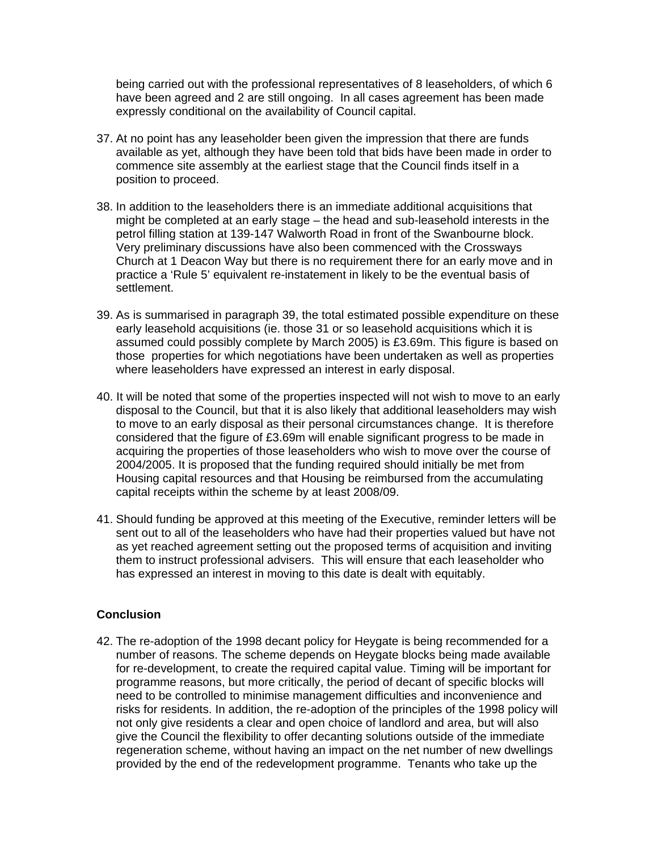being carried out with the professional representatives of 8 leaseholders, of which 6 have been agreed and 2 are still ongoing. In all cases agreement has been made expressly conditional on the availability of Council capital.

- 37. At no point has any leaseholder been given the impression that there are funds available as yet, although they have been told that bids have been made in order to commence site assembly at the earliest stage that the Council finds itself in a position to proceed.
- 38. In addition to the leaseholders there is an immediate additional acquisitions that might be completed at an early stage – the head and sub-leasehold interests in the petrol filling station at 139-147 Walworth Road in front of the Swanbourne block. Very preliminary discussions have also been commenced with the Crossways Church at 1 Deacon Way but there is no requirement there for an early move and in practice a 'Rule 5' equivalent re-instatement in likely to be the eventual basis of settlement.
- 39. As is summarised in paragraph 39, the total estimated possible expenditure on these early leasehold acquisitions (ie. those 31 or so leasehold acquisitions which it is assumed could possibly complete by March 2005) is £3.69m. This figure is based on those properties for which negotiations have been undertaken as well as properties where leaseholders have expressed an interest in early disposal.
- 40. It will be noted that some of the properties inspected will not wish to move to an early disposal to the Council, but that it is also likely that additional leaseholders may wish to move to an early disposal as their personal circumstances change. It is therefore considered that the figure of £3.69m will enable significant progress to be made in acquiring the properties of those leaseholders who wish to move over the course of 2004/2005. It is proposed that the funding required should initially be met from Housing capital resources and that Housing be reimbursed from the accumulating capital receipts within the scheme by at least 2008/09.
- 41. Should funding be approved at this meeting of the Executive, reminder letters will be sent out to all of the leaseholders who have had their properties valued but have not as yet reached agreement setting out the proposed terms of acquisition and inviting them to instruct professional advisers. This will ensure that each leaseholder who has expressed an interest in moving to this date is dealt with equitably.

#### **Conclusion**

42. The re-adoption of the 1998 decant policy for Heygate is being recommended for a number of reasons. The scheme depends on Heygate blocks being made available for re-development, to create the required capital value. Timing will be important for programme reasons, but more critically, the period of decant of specific blocks will need to be controlled to minimise management difficulties and inconvenience and risks for residents. In addition, the re-adoption of the principles of the 1998 policy will not only give residents a clear and open choice of landlord and area, but will also give the Council the flexibility to offer decanting solutions outside of the immediate regeneration scheme, without having an impact on the net number of new dwellings provided by the end of the redevelopment programme. Tenants who take up the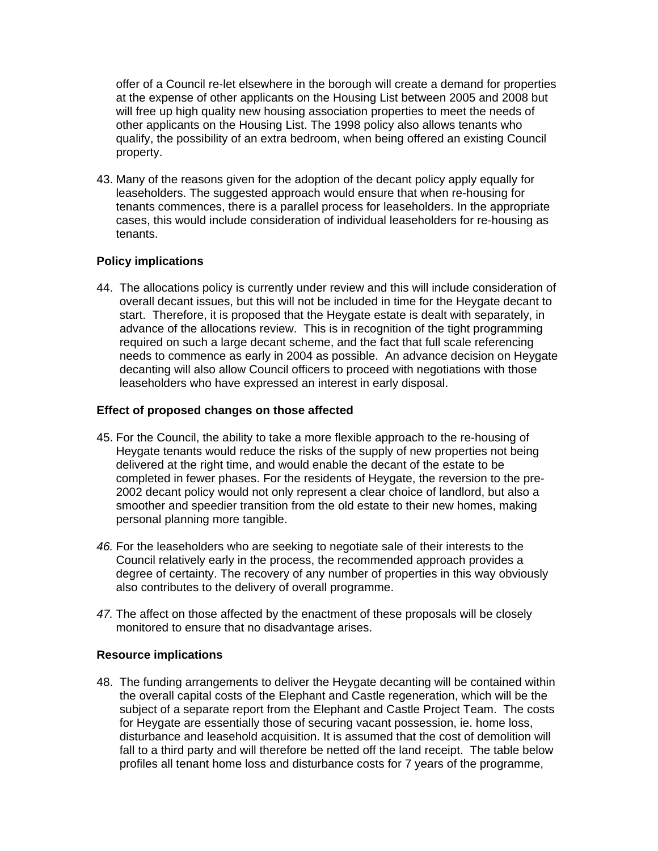offer of a Council re-let elsewhere in the borough will create a demand for properties at the expense of other applicants on the Housing List between 2005 and 2008 but will free up high quality new housing association properties to meet the needs of other applicants on the Housing List. The 1998 policy also allows tenants who qualify, the possibility of an extra bedroom, when being offered an existing Council property.

43. Many of the reasons given for the adoption of the decant policy apply equally for leaseholders. The suggested approach would ensure that when re-housing for tenants commences, there is a parallel process for leaseholders. In the appropriate cases, this would include consideration of individual leaseholders for re-housing as tenants.

## **Policy implications**

44. The allocations policy is currently under review and this will include consideration of overall decant issues, but this will not be included in time for the Heygate decant to start. Therefore, it is proposed that the Heygate estate is dealt with separately, in advance of the allocations review. This is in recognition of the tight programming required on such a large decant scheme, and the fact that full scale referencing needs to commence as early in 2004 as possible. An advance decision on Heygate decanting will also allow Council officers to proceed with negotiations with those leaseholders who have expressed an interest in early disposal.

## **Effect of proposed changes on those affected**

- 45. For the Council, the ability to take a more flexible approach to the re-housing of Heygate tenants would reduce the risks of the supply of new properties not being delivered at the right time, and would enable the decant of the estate to be completed in fewer phases. For the residents of Heygate, the reversion to the pre-2002 decant policy would not only represent a clear choice of landlord, but also a smoother and speedier transition from the old estate to their new homes, making personal planning more tangible.
- *46.* For the leaseholders who are seeking to negotiate sale of their interests to the Council relatively early in the process, the recommended approach provides a degree of certainty. The recovery of any number of properties in this way obviously also contributes to the delivery of overall programme.
- *47.* The affect on those affected by the enactment of these proposals will be closely monitored to ensure that no disadvantage arises.

## **Resource implications**

48. The funding arrangements to deliver the Heygate decanting will be contained within the overall capital costs of the Elephant and Castle regeneration, which will be the subject of a separate report from the Elephant and Castle Project Team. The costs for Heygate are essentially those of securing vacant possession, ie. home loss, disturbance and leasehold acquisition. It is assumed that the cost of demolition will fall to a third party and will therefore be netted off the land receipt. The table below profiles all tenant home loss and disturbance costs for 7 years of the programme,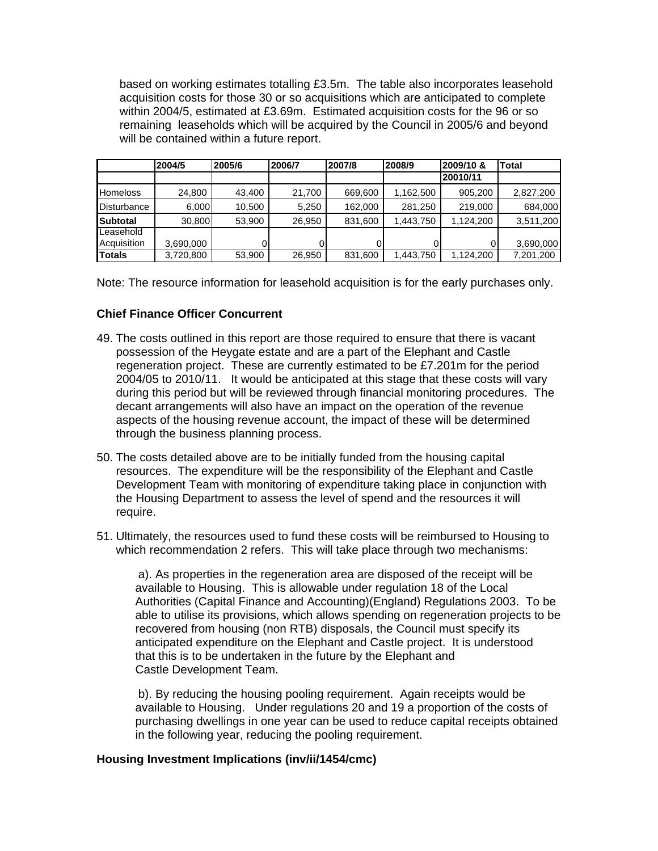based on working estimates totalling £3.5m. The table also incorporates leasehold acquisition costs for those 30 or so acquisitions which are anticipated to complete within 2004/5, estimated at £3.69m. Estimated acquisition costs for the 96 or so remaining leaseholds which will be acquired by the Council in 2005/6 and beyond will be contained within a future report.

|                 | 2004/5    | 2005/6 | 2006/7 | 2007/8  | 2008/9    | 2009/10 & | Total     |
|-----------------|-----------|--------|--------|---------|-----------|-----------|-----------|
|                 |           |        |        |         |           | 20010/11  |           |
| <b>Homeloss</b> | 24,800    | 43.400 | 21,700 | 669,600 | 1,162,500 | 905,200   | 2,827,200 |
| Disturbance     | 6,000     | 10,500 | 5.250  | 162,000 | 281,250   | 219,000   | 684,000   |
| <b>Subtotal</b> | 30,800    | 53.900 | 26.950 | 831,600 | 1,443,750 | 1,124,200 | 3,511,200 |
| Leasehold       |           |        |        |         |           |           |           |
| Acquisition     | 3,690,000 |        |        |         |           |           | 3,690,000 |
| <b>Totals</b>   | 3,720,800 | 53,900 | 26,950 | 831,600 | 1,443,750 | 1,124,200 | 7,201,200 |

Note: The resource information for leasehold acquisition is for the early purchases only.

#### **Chief Finance Officer Concurrent**

- 49. The costs outlined in this report are those required to ensure that there is vacant possession of the Heygate estate and are a part of the Elephant and Castle regeneration project. These are currently estimated to be £7.201m for the period 2004/05 to 2010/11. It would be anticipated at this stage that these costs will vary during this period but will be reviewed through financial monitoring procedures. The decant arrangements will also have an impact on the operation of the revenue aspects of the housing revenue account, the impact of these will be determined through the business planning process.
- 50. The costs detailed above are to be initially funded from the housing capital resources. The expenditure will be the responsibility of the Elephant and Castle Development Team with monitoring of expenditure taking place in conjunction with the Housing Department to assess the level of spend and the resources it will require.
- 51. Ultimately, the resources used to fund these costs will be reimbursed to Housing to which recommendation 2 refers. This will take place through two mechanisms:

a). As properties in the regeneration area are disposed of the receipt will be available to Housing. This is allowable under regulation 18 of the Local Authorities (Capital Finance and Accounting)(England) Regulations 2003. To be able to utilise its provisions, which allows spending on regeneration projects to be recovered from housing (non RTB) disposals, the Council must specify its anticipated expenditure on the Elephant and Castle project. It is understood that this is to be undertaken in the future by the Elephant and Castle Development Team.

b). By reducing the housing pooling requirement. Again receipts would be available to Housing. Under regulations 20 and 19 a proportion of the costs of purchasing dwellings in one year can be used to reduce capital receipts obtained in the following year, reducing the pooling requirement.

#### **Housing Investment Implications (inv/ii/1454/cmc)**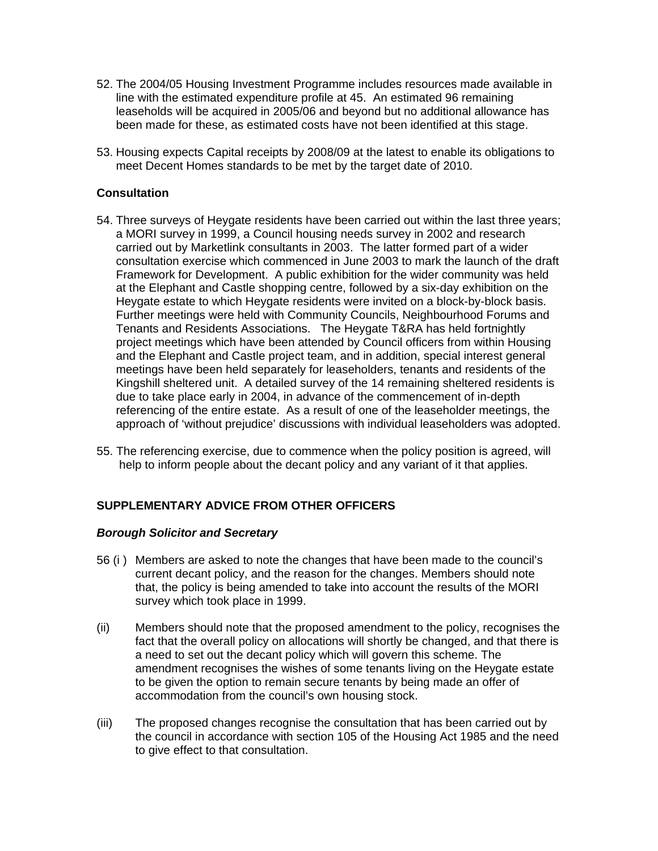- 52. The 2004/05 Housing Investment Programme includes resources made available in line with the estimated expenditure profile at 45. An estimated 96 remaining leaseholds will be acquired in 2005/06 and beyond but no additional allowance has been made for these, as estimated costs have not been identified at this stage.
- 53. Housing expects Capital receipts by 2008/09 at the latest to enable its obligations to meet Decent Homes standards to be met by the target date of 2010.

## **Consultation**

- 54. Three surveys of Heygate residents have been carried out within the last three years; a MORI survey in 1999, a Council housing needs survey in 2002 and research carried out by Marketlink consultants in 2003. The latter formed part of a wider consultation exercise which commenced in June 2003 to mark the launch of the draft Framework for Development. A public exhibition for the wider community was held at the Elephant and Castle shopping centre, followed by a six-day exhibition on the Heygate estate to which Heygate residents were invited on a block-by-block basis. Further meetings were held with Community Councils, Neighbourhood Forums and Tenants and Residents Associations. The Heygate T&RA has held fortnightly project meetings which have been attended by Council officers from within Housing and the Elephant and Castle project team, and in addition, special interest general meetings have been held separately for leaseholders, tenants and residents of the Kingshill sheltered unit. A detailed survey of the 14 remaining sheltered residents is due to take place early in 2004, in advance of the commencement of in-depth referencing of the entire estate. As a result of one of the leaseholder meetings, the approach of 'without prejudice' discussions with individual leaseholders was adopted.
- 55. The referencing exercise, due to commence when the policy position is agreed, will help to inform people about the decant policy and any variant of it that applies.

# **SUPPLEMENTARY ADVICE FROM OTHER OFFICERS**

## *Borough Solicitor and Secretary*

- 56 (i ) Members are asked to note the changes that have been made to the council's current decant policy, and the reason for the changes. Members should note that, the policy is being amended to take into account the results of the MORI survey which took place in 1999.
- (ii) Members should note that the proposed amendment to the policy, recognises the fact that the overall policy on allocations will shortly be changed, and that there is a need to set out the decant policy which will govern this scheme. The amendment recognises the wishes of some tenants living on the Heygate estate to be given the option to remain secure tenants by being made an offer of accommodation from the council's own housing stock.
- (iii) The proposed changes recognise the consultation that has been carried out by the council in accordance with section 105 of the Housing Act 1985 and the need to give effect to that consultation.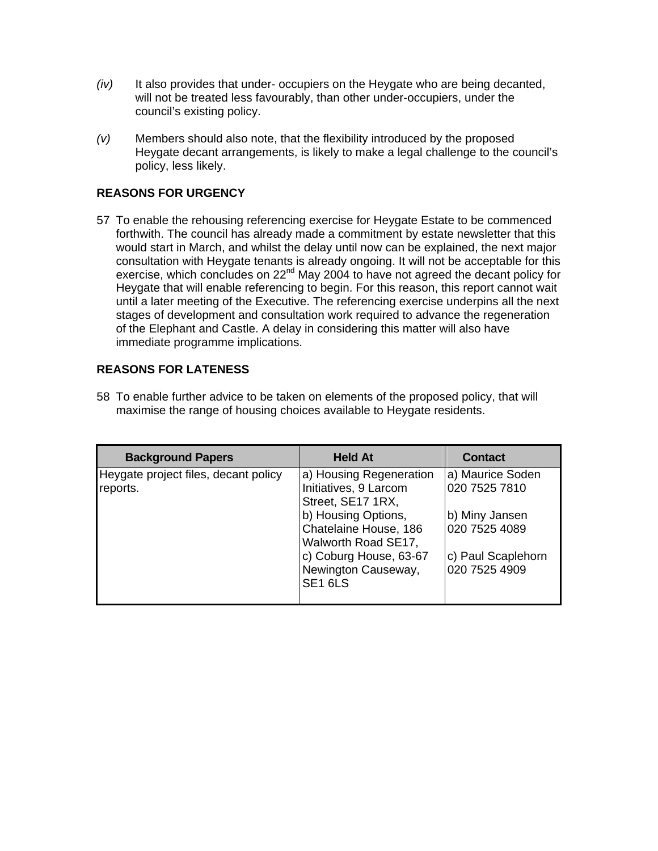- *(iv)* It also provides that under- occupiers on the Heygate who are being decanted, will not be treated less favourably, than other under-occupiers, under the council's existing policy.
- *(v)* Members should also note, that the flexibility introduced by the proposed Heygate decant arrangements, is likely to make a legal challenge to the council's policy, less likely.

## **REASONS FOR URGENCY**

57 To enable the rehousing referencing exercise for Heygate Estate to be commenced forthwith. The council has already made a commitment by estate newsletter that this would start in March, and whilst the delay until now can be explained, the next major consultation with Heygate tenants is already ongoing. It will not be acceptable for this exercise, which concludes on  $22<sup>nd</sup>$  May 2004 to have not agreed the decant policy for Heygate that will enable referencing to begin. For this reason, this report cannot wait until a later meeting of the Executive. The referencing exercise underpins all the next stages of development and consultation work required to advance the regeneration of the Elephant and Castle. A delay in considering this matter will also have immediate programme implications.

## **REASONS FOR LATENESS**

58 To enable further advice to be taken on elements of the proposed policy, that will maximise the range of housing choices available to Heygate residents.

| <b>Background Papers</b>                         | <b>Held At</b>                                                       | <b>Contact</b>                      |
|--------------------------------------------------|----------------------------------------------------------------------|-------------------------------------|
| Heygate project files, decant policy<br>reports. | a) Housing Regeneration<br>Initiatives, 9 Larcom                     | a) Maurice Soden<br>020 7525 7810   |
|                                                  | Street, SE17 1RX,                                                    |                                     |
|                                                  | b) Housing Options,                                                  | b) Miny Jansen                      |
|                                                  | Chatelaine House, 186<br>Walworth Road SE17,                         | 020 7525 4089                       |
|                                                  | c) Coburg House, 63-67<br>Newington Causeway,<br>SE <sub>1</sub> 6LS | c) Paul Scaplehorn<br>020 7525 4909 |